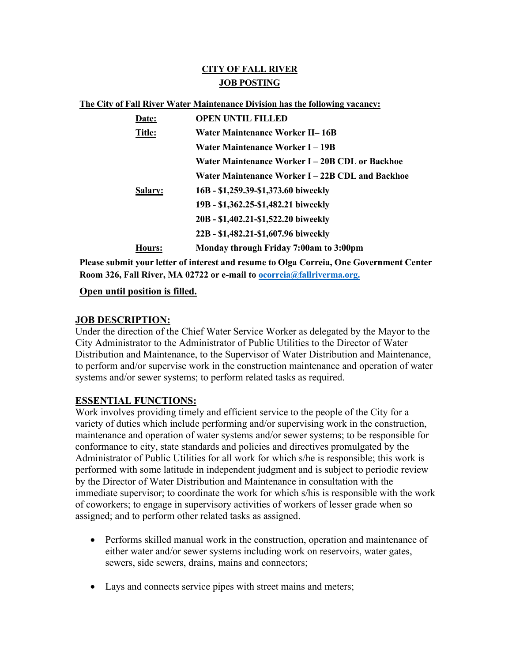# **CITY OF FALL RIVER JOB POSTING**

#### **The City of Fall River Water Maintenance Division has the following vacancy:**

| Date:   | <b>OPEN UNTIL FILLED</b>                         |
|---------|--------------------------------------------------|
| Title:  | Water Maintenance Worker II–16B                  |
|         | Water Maintenance Worker I – 19B                 |
|         | Water Maintenance Worker I – 20B CDL or Backhoe  |
|         | Water Maintenance Worker I – 22B CDL and Backhoe |
| Salary: | 16B - \$1,259.39-\$1,373.60 biweekly             |
|         | 19B - \$1,362.25-\$1,482.21 biweekly             |
|         | 20B - \$1,402.21-\$1,522.20 biweekly             |
|         | 22B - \$1,482.21-\$1,607.96 biweekly             |
| Hours:  | Monday through Friday 7:00am to 3:00pm           |

**Please submit your letter of interest and resume to Olga Correia, One Government Center Room 326, Fall River, MA 02722 or e-mail to [ocorreia@fallriverma.org.](mailto:ocorreia@fallriverma.org.)**

### **Open until position is filled.**

#### **JOB DESCRIPTION:**

Under the direction of the Chief Water Service Worker as delegated by the Mayor to the City Administrator to the Administrator of Public Utilities to the Director of Water Distribution and Maintenance, to the Supervisor of Water Distribution and Maintenance, to perform and/or supervise work in the construction maintenance and operation of water systems and/or sewer systems; to perform related tasks as required.

## **ESSENTIAL FUNCTIONS:**

Work involves providing timely and efficient service to the people of the City for a variety of duties which include performing and/or supervising work in the construction, maintenance and operation of water systems and/or sewer systems; to be responsible for conformance to city, state standards and policies and directives promulgated by the Administrator of Public Utilities for all work for which s/he is responsible; this work is performed with some latitude in independent judgment and is subject to periodic review by the Director of Water Distribution and Maintenance in consultation with the immediate supervisor; to coordinate the work for which s/his is responsible with the work of coworkers; to engage in supervisory activities of workers of lesser grade when so assigned; and to perform other related tasks as assigned.

- Performs skilled manual work in the construction, operation and maintenance of either water and/or sewer systems including work on reservoirs, water gates, sewers, side sewers, drains, mains and connectors;
- Lays and connects service pipes with street mains and meters;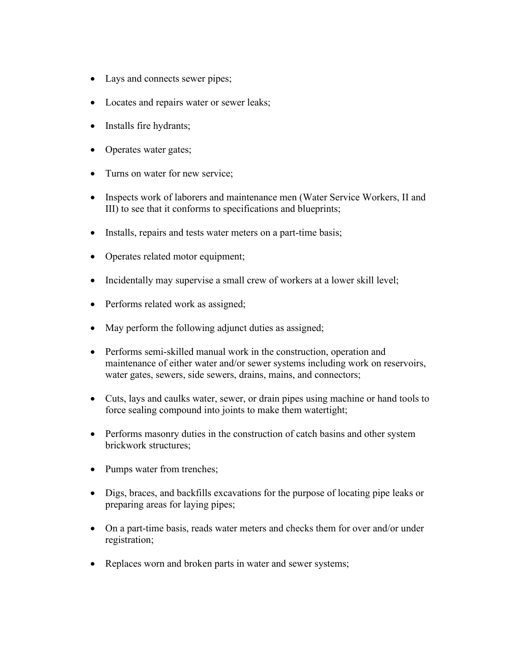- Lays and connects sewer pipes;
- Locates and repairs water or sewer leaks;
- Installs fire hydrants;
- Operates water gates;
- Turns on water for new service;
- Inspects work of laborers and maintenance men (Water Service Workers, II and III) to see that it conforms to specifications and blueprints;
- Installs, repairs and tests water meters on a part-time basis;
- Operates related motor equipment;
- Incidentally may supervise a small crew of workers at a lower skill level;
- Performs related work as assigned;
- May perform the following adjunct duties as assigned;
- Performs semi-skilled manual work in the construction, operation and maintenance of either water and/or sewer systems including work on reservoirs, water gates, sewers, side sewers, drains, mains, and connectors;
- Cuts, lays and caulks water, sewer, or drain pipes using machine or hand tools to force sealing compound into joints to make them watertight;
- Performs masonry duties in the construction of catch basins and other system brickwork structures;
- Pumps water from trenches;
- Digs, braces, and backfills excavations for the purpose of locating pipe leaks or preparing areas for laying pipes;
- On a part-time basis, reads water meters and checks them for over and/or under registration;
- Replaces worn and broken parts in water and sewer systems;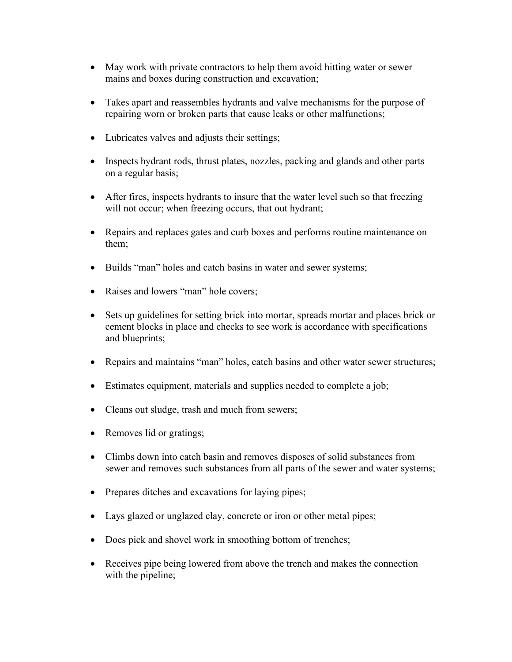- May work with private contractors to help them avoid hitting water or sewer mains and boxes during construction and excavation;
- Takes apart and reassembles hydrants and valve mechanisms for the purpose of repairing worn or broken parts that cause leaks or other malfunctions;
- Lubricates valves and adjusts their settings;
- Inspects hydrant rods, thrust plates, nozzles, packing and glands and other parts on a regular basis;
- After fires, inspects hydrants to insure that the water level such so that freezing will not occur; when freezing occurs, that out hydrant;
- Repairs and replaces gates and curb boxes and performs routine maintenance on them;
- Builds "man" holes and catch basins in water and sewer systems;
- Raises and lowers "man" hole covers;
- Sets up guidelines for setting brick into mortar, spreads mortar and places brick or cement blocks in place and checks to see work is accordance with specifications and blueprints;
- Repairs and maintains "man" holes, catch basins and other water sewer structures;
- Estimates equipment, materials and supplies needed to complete a job;
- Cleans out sludge, trash and much from sewers;
- Removes lid or gratings;
- Climbs down into catch basin and removes disposes of solid substances from sewer and removes such substances from all parts of the sewer and water systems;
- Prepares ditches and excavations for laying pipes;
- Lays glazed or unglazed clay, concrete or iron or other metal pipes;
- Does pick and shovel work in smoothing bottom of trenches;
- Receives pipe being lowered from above the trench and makes the connection with the pipeline;